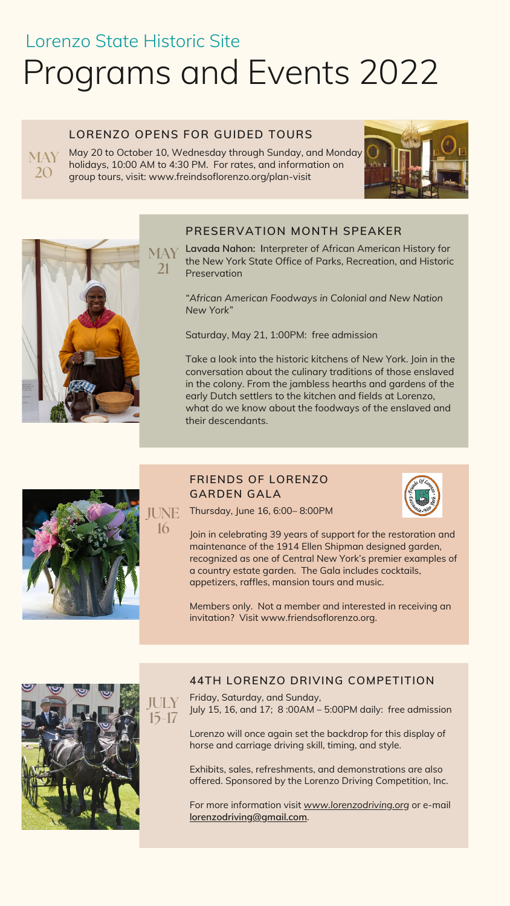# Lorenzo State Historic Site Programs and Events 2022

May 20 to October 10, Wednesday through Sunday, and Monday holidays, 10:00 AM to 4:30 PM. For rates, and information on group tours, visit: www.freindsoflorenzo.org/plan-visit MAY<sub></sub>





# **LORENZO OPENS FOR GUIDED TOURS**

**Lavada Nahon: I**nterpreter of African American History for MAY the New York State Office of Parks, Recreation, and Historic **Preservation** 

20

# **PRESERVATION MONTH SPEAKER**

*"African American Foodways in Colonial and New Nation New York"*

Saturday, May 21, 1:00PM: free admission

Take a look into the historic kitchens of New York. Join in the conversation about the culinary traditions of those enslaved in the colony. From the jambless hearths and gardens of the early Dutch settlers to the kitchen and fields at Lorenzo, what do we know about the foodways of the enslaved and their descendants.

21



16

# **FRIENDS OF LORENZO GARDEN GALA**

Thursday, June 16, 6:00– 8:00PM

Join in celebrating 39 years of support for the restoration and maintenance of the 1914 Ellen Shipman designed garden, recognized as one of Central New York's premier examples of

a country estate garden. The Gala includes cocktails, appetizers, raffles, mansion tours and music.

Members only. Not a member and interested in receiving an invitation? Visit www.friendsoflorenzo.org.



#### **44TH LORENZO DRIVING COMPETITION**

JULY Friday, Saturday, and Sunday, July 15, 16, and 17; 8 :00AM – 5:00PM daily: free admission

> Lorenzo will once again set the backdrop for this display of horse and carriage driving skill, timing, and style.

> Exhibits, sales, refreshments, and demonstrations are also offered. Sponsored by the Lorenzo Driving Competition, Inc.

> For more information visit *[www.lorenzodriving.org](http://www.lorenzodriving.org/)* or e-mail **[lorenzodriving@gmail.com](mailto:lorenzodriving@gmail.com)**.